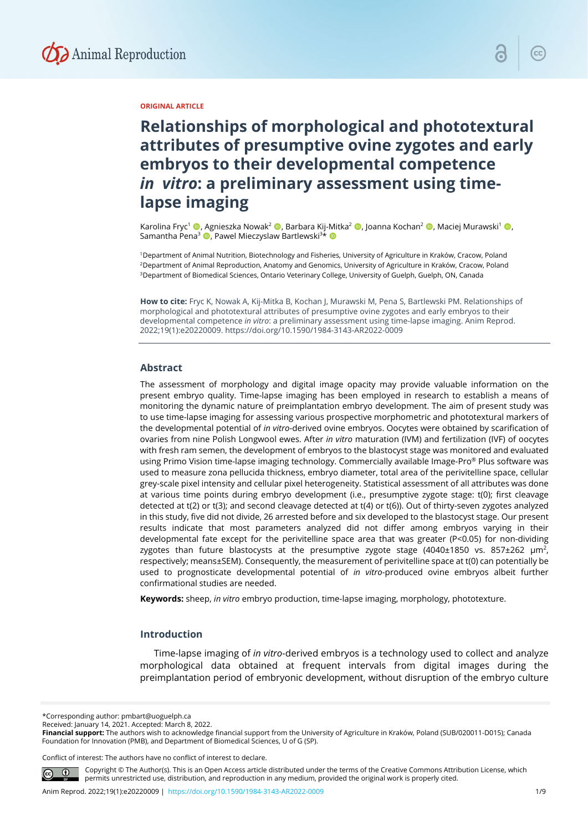

### **ORIGINAL ARTICLE**

# **Relationships of morphological and phototextural attributes of presumptive ovine zygotes and early embryos to their developmental competence**  *in vitro***: a preliminary assessment using timelapse imaging**

Karolina Fryc<sup>1</sup> ©, Agnieszka Nowak<sup>2</sup> ©, Barbara Kij-Mitka<sup>2</sup> ©, Joanna Kochan<sup>2</sup> ©, Maciej Murawski<sup>1</sup> ©, Samantha Pena<sup>3</sup> (D, Pawel Mieczyslaw Bartlewski<sup>3\*</sup> (D

1Department of Animal Nutrition, Biotechnology and Fisheries, University of Agriculture in Kraków, Cracow, Poland 2Department of Animal Reproduction, Anatomy and Genomics, University of Agriculture in Kraków, Cracow, Poland 3Department of Biomedical Sciences, Ontario Veterinary College, University of Guelph, Guelph, ON, Canada

**How to cite:** Fryc K, Nowak A, Kij-Mitka B, Kochan J, Murawski M, Pena S, Bartlewski PM. Relationships of morphological and phototextural attributes of presumptive ovine zygotes and early embryos to their developmental competence *in vitro*: a preliminary assessment using time-lapse imaging. Anim Reprod. 2022;19(1):e20220009. https://doi.org/10.1590/1984-3143-AR2022-0009

#### **Abstract**

The assessment of morphology and digital image opacity may provide valuable information on the present embryo quality. Time-lapse imaging has been employed in research to establish a means of monitoring the dynamic nature of preimplantation embryo development. The aim of present study was to use time-lapse imaging for assessing various prospective morphometric and phototextural markers of the developmental potential of *in vitro*-derived ovine embryos. Oocytes were obtained by scarification of ovaries from nine Polish Longwool ewes. After *in vitro* maturation (IVM) and fertilization (IVF) of oocytes with fresh ram semen, the development of embryos to the blastocyst stage was monitored and evaluated using Primo Vision time-lapse imaging technology. Commercially available Image-Pro® Plus software was used to measure zona pellucida thickness, embryo diameter, total area of the perivitelline space, cellular grey-scale pixel intensity and cellular pixel heterogeneity. Statistical assessment of all attributes was done at various time points during embryo development (i.e., presumptive zygote stage: t(0); first cleavage detected at t(2) or t(3); and second cleavage detected at t(4) or t(6)). Out of thirty-seven zygotes analyzed in this study, five did not divide, 26 arrested before and six developed to the blastocyst stage. Our present results indicate that most parameters analyzed did not differ among embryos varying in their developmental fate except for the perivitelline space area that was greater (P<0.05) for non-dividing zygotes than future blastocysts at the presumptive zygote stage  $(4040±1850 \text{ vs. } 857±262 \text{ }\mu\text{m}^2)$ respectively; means±SEM). Consequently, the measurement of perivitelline space at t(0) can potentially be used to prognosticate developmental potential of *in vitro*-produced ovine embryos albeit further confirmational studies are needed.

**Keywords:** sheep, *in vitro* embryo production, time-lapse imaging, morphology, phototexture.

### **Introduction**

Time-lapse imaging of *in vitro*-derived embryos is a technology used to collect and analyze morphological data obtained at frequent intervals from digital images during the preimplantation period of embryonic development, without disruption of the embryo culture

\*Corresponding author: pmbart@uoguelph.ca

Received: January 14, 2021. Accepted: March 8, 2022.

**Financial support:** The authors wish to acknowledge financial support from the University of Agriculture in Kraków, Poland (SUB/020011-D015); Canada Foundation for Innovation (PMB), and Department of Biomedical Sciences, U of G (SP).

Conflict of interest: The authors have no conflict of interest to declare.



Copyright © The Author(s). This is an Open Access article distributed under the terms of the Creative Commons Attribution License, which permits unrestricted use, distribution, and reproduction in any medium, provided the original work is properly cited.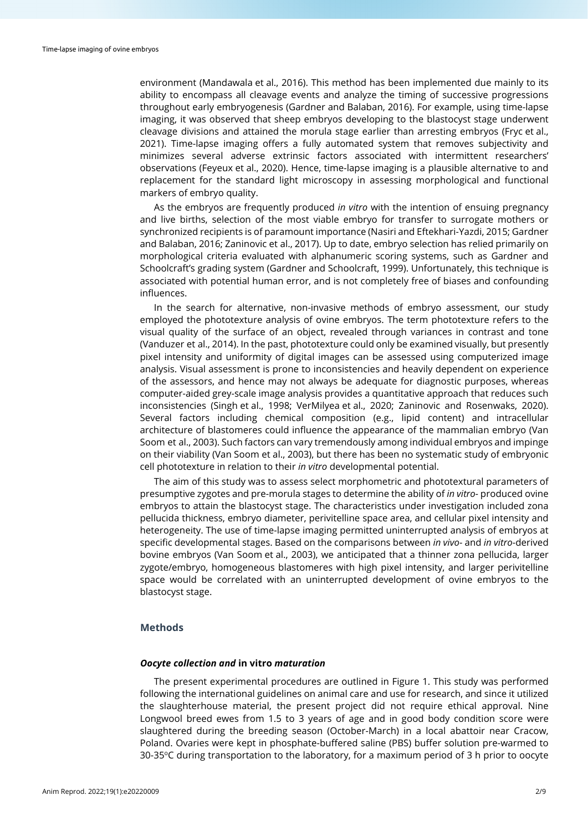environment (Mandawala et al., 2016). This method has been implemented due mainly to its ability to encompass all cleavage events and analyze the timing of successive progressions throughout early embryogenesis (Gardner and Balaban, 2016). For example, using time-lapse imaging, it was observed that sheep embryos developing to the blastocyst stage underwent cleavage divisions and attained the morula stage earlier than arresting embryos (Fryc et al., 2021). Time-lapse imaging offers a fully automated system that removes subjectivity and minimizes several adverse extrinsic factors associated with intermittent researchers' observations (Feyeux et al., 2020). Hence, time-lapse imaging is a plausible alternative to and replacement for the standard light microscopy in assessing morphological and functional markers of embryo quality.

As the embryos are frequently produced *in vitro* with the intention of ensuing pregnancy and live births, selection of the most viable embryo for transfer to surrogate mothers or synchronized recipients is of paramount importance (Nasiri and Eftekhari-Yazdi, 2015; Gardner and Balaban, 2016; Zaninovic et al., 2017). Up to date, embryo selection has relied primarily on morphological criteria evaluated with alphanumeric scoring systems, such as Gardner and Schoolcraft's grading system (Gardner and Schoolcraft, 1999). Unfortunately, this technique is associated with potential human error, and is not completely free of biases and confounding influences.

In the search for alternative, non-invasive methods of embryo assessment, our study employed the phototexture analysis of ovine embryos. The term phototexture refers to the visual quality of the surface of an object, revealed through variances in contrast and tone (Vanduzer et al., 2014). In the past, phototexture could only be examined visually, but presently pixel intensity and uniformity of digital images can be assessed using computerized image analysis. Visual assessment is prone to inconsistencies and heavily dependent on experience of the assessors, and hence may not always be adequate for diagnostic purposes, whereas computer-aided grey-scale image analysis provides a quantitative approach that reduces such inconsistencies (Singh et al., 1998; VerMilyea et al., 2020; Zaninovic and Rosenwaks, 2020). Several factors including chemical composition (e.g., lipid content) and intracellular architecture of blastomeres could influence the appearance of the mammalian embryo (Van Soom et al., 2003). Such factors can vary tremendously among individual embryos and impinge on their viability (Van Soom et al., 2003), but there has been no systematic study of embryonic cell phototexture in relation to their *in vitro* developmental potential.

The aim of this study was to assess select morphometric and phototextural parameters of presumptive zygotes and pre-morula stages to determine the ability of *in vitro-* produced ovine embryos to attain the blastocyst stage. The characteristics under investigation included zona pellucida thickness, embryo diameter, perivitelline space area, and cellular pixel intensity and heterogeneity. The use of time-lapse imaging permitted uninterrupted analysis of embryos at specific developmental stages. Based on the comparisons between *in vivo*- and *in vitro*-derived bovine embryos (Van Soom et al., 2003), we anticipated that a thinner zona pellucida, larger zygote/embryo, homogeneous blastomeres with high pixel intensity, and larger perivitelline space would be correlated with an uninterrupted development of ovine embryos to the blastocyst stage.

# **Methods**

#### *Oocyte collection and* **in vitro** *maturation*

The present experimental procedures are outlined in Figure 1. This study was performed following the international guidelines on animal care and use for research, and since it utilized the slaughterhouse material, the present project did not require ethical approval. Nine Longwool breed ewes from 1.5 to 3 years of age and in good body condition score were slaughtered during the breeding season (October-March) in a local abattoir near Cracow, Poland. Ovaries were kept in phosphate-buffered saline (PBS) buffer solution pre-warmed to 30-35°C during transportation to the laboratory, for a maximum period of 3 h prior to oocyte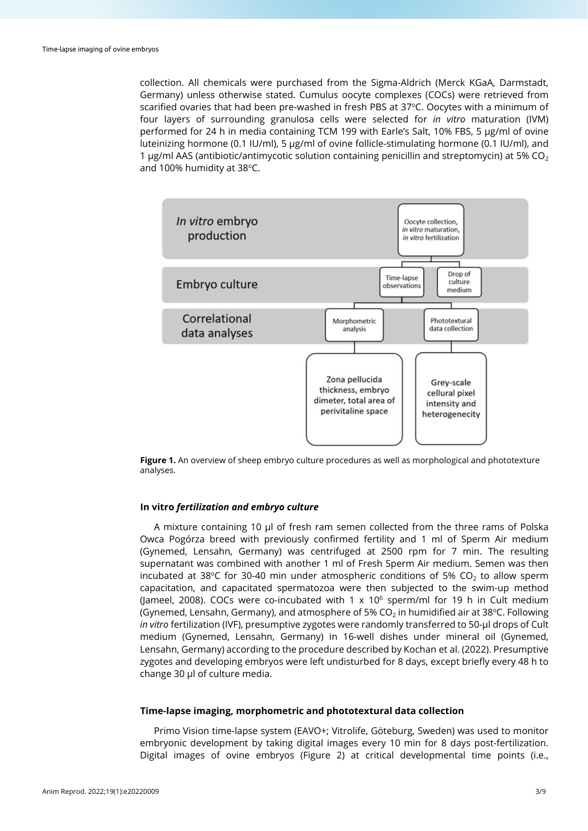collection. All chemicals were purchased from the Sigma-Aldrich (Merck KGaA, Darmstadt, Germany) unless otherwise stated. Cumulus oocyte complexes (COCs) were retrieved from scarified ovaries that had been pre-washed in fresh PBS at 37°C. Oocytes with a minimum of four layers of surrounding granulosa cells were selected for *in vitro* maturation (IVM) performed for 24 h in media containing TCM 199 with Earle's Salt, 10% FBS, 5 µg/ml of ovine luteinizing hormone (0.1 IU/ml), 5 µg/ml of ovine follicle-stimulating hormone (0.1 IU/ml), and 1 μg/ml AAS (antibiotic/antimycotic solution containing penicillin and streptomycin) at 5% CO<sub>2</sub> and 100% humidity at 38°C.



**Figure 1.** An overview of sheep embryo culture procedures as well as morphological and phototexture analyses.

#### **In vitro** *fertilization and embryo culture*

A mixture containing 10 µl of fresh ram semen collected from the three rams of Polska Owca Pogórza breed with previously confirmed fertility and 1 ml of Sperm Air medium (Gynemed, Lensahn, Germany) was centrifuged at 2500 rpm for 7 min. The resulting supernatant was combined with another 1 ml of Fresh Sperm Air medium. Semen was then incubated at 38 $\degree$ C for 30-40 min under atmospheric conditions of 5% CO<sub>2</sub> to allow sperm capacitation, and capacitated spermatozoa were then subjected to the swim-up method (Jameel, 2008). COCs were co-incubated with  $1 \times 10^6$  sperm/ml for 19 h in Cult medium (Gynemed, Lensahn, Germany), and atmosphere of 5% CO<sub>2</sub> in humidified air at 38°C. Following *in vitro* fertilization (IVF), presumptive zygotes were randomly transferred to 50-µl drops of Cult medium (Gynemed, Lensahn, Germany) in 16-well dishes under mineral oil (Gynemed, Lensahn, Germany) according to the procedure described by Kochan et al. (2022). Presumptive zygotes and developing embryos were left undisturbed for 8 days, except briefly every 48 h to change 30 µl of culture media.

#### **Time-lapse imaging, morphometric and phototextural data collection**

Primo Vision time-lapse system (EAVO+; Vitrolife, Göteburg, Sweden) was used to monitor embryonic development by taking digital images every 10 min for 8 days post-fertilization. Digital images of ovine embryos (Figure 2) at critical developmental time points (i.e.,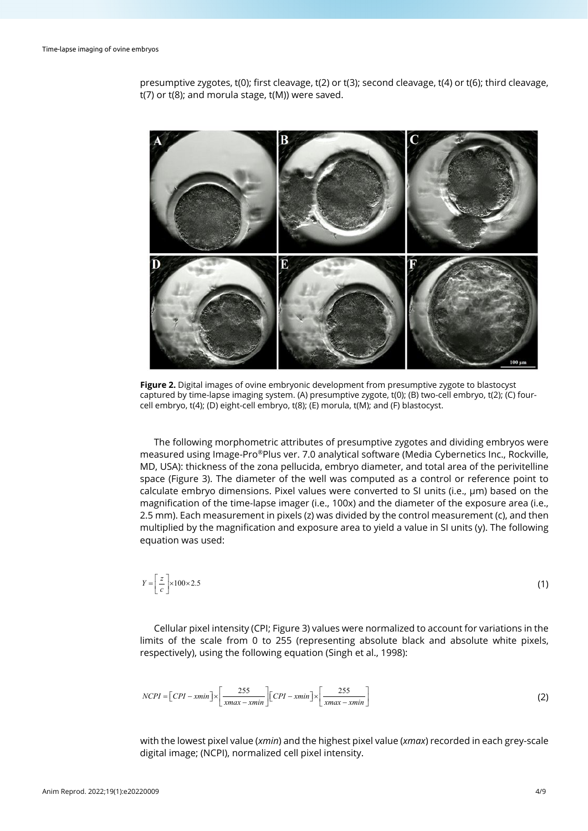presumptive zygotes, t(0); first cleavage, t(2) or t(3); second cleavage, t(4) or t(6); third cleavage, t(7) or t(8); and morula stage, t(M)) were saved.



**Figure 2.** Digital images of ovine embryonic development from presumptive zygote to blastocyst captured by time-lapse imaging system. (A) presumptive zygote, t(0); (B) two-cell embryo, t(2); (C) fourcell embryo, t(4); (D) eight-cell embryo, t(8); (E) morula, t(M); and (F) blastocyst.

The following morphometric attributes of presumptive zygotes and dividing embryos were measured using Image-Pro®Plus ver. 7.0 analytical software (Media Cybernetics Inc., Rockville, MD, USA): thickness of the zona pellucida, embryo diameter, and total area of the perivitelline space (Figure 3). The diameter of the well was computed as a control or reference point to calculate embryo dimensions. Pixel values were converted to SI units (i.e., μm) based on the magnification of the time-lapse imager (i.e., 100x) and the diameter of the exposure area (i.e., 2.5 mm). Each measurement in pixels (z) was divided by the control measurement (c), and then multiplied by the magnification and exposure area to yield a value in SI units (y). The following equation was used:

$$
Y = \left[\frac{z}{c}\right] \times 100 \times 2.5\tag{1}
$$

Cellular pixel intensity (CPI; Figure 3) values were normalized to account for variations in the limits of the scale from 0 to 255 (representing absolute black and absolute white pixels, respectively), using the following equation (Singh et al., 1998):

$$
NCPI = \left[ \text{CPI} - \text{xmin} \right] \times \left[ \frac{255}{\text{xmax} - \text{xmin}} \right] \left[ \text{CPI} - \text{xmin} \right] \times \left[ \frac{255}{\text{xmax} - \text{xmin}} \right] \tag{2}
$$

with the lowest pixel value (*xmin*) and the highest pixel value (*xmax*) recorded in each grey-scale digital image; (NCPI), normalized cell pixel intensity.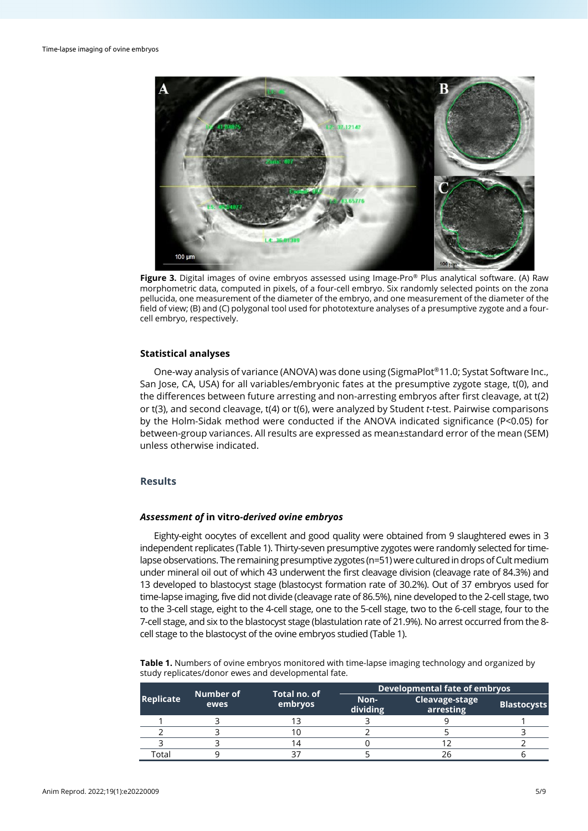

**Figure 3.** Digital images of ovine embryos assessed using Image-Pro® Plus analytical software. (A) Raw morphometric data, computed in pixels, of a four-cell embryo. Six randomly selected points on the zona pellucida, one measurement of the diameter of the embryo, and one measurement of the diameter of the field of view; (B) and (C) polygonal tool used for phototexture analyses of a presumptive zygote and a fourcell embryo, respectively.

# **Statistical analyses**

One-way analysis of variance (ANOVA) was done using (SigmaPlot®11.0; Systat Software Inc., San Jose, CA, USA) for all variables/embryonic fates at the presumptive zygote stage, t(0), and the differences between future arresting and non-arresting embryos after first cleavage, at t(2) or t(3), and second cleavage, t(4) or t(6), were analyzed by Student *t*-test. Pairwise comparisons by the Holm-Sidak method were conducted if the ANOVA indicated significance (P<0.05) for between-group variances. All results are expressed as mean±standard error of the mean (SEM) unless otherwise indicated.

# **Results**

#### *Assessment of* **in vitro***-derived ovine embryos*

Eighty-eight oocytes of excellent and good quality were obtained from 9 slaughtered ewes in 3 independent replicates (Table 1). Thirty-seven presumptive zygotes were randomly selected for timelapse observations. The remaining presumptive zygotes (n=51) were cultured in drops of Cult medium under mineral oil out of which 43 underwent the first cleavage division (cleavage rate of 84.3%) and 13 developed to blastocyst stage (blastocyst formation rate of 30.2%). Out of 37 embryos used for time-lapse imaging, five did not divide (cleavage rate of 86.5%), nine developed to the 2-cell stage, two to the 3-cell stage, eight to the 4-cell stage, one to the 5-cell stage, two to the 6-cell stage, four to the 7-cell stage, and six to the blastocyst stage (blastulation rate of 21.9%). No arrest occurred from the 8 cell stage to the blastocyst of the ovine embryos studied (Table 1).

**Table 1.** Numbers of ovine embryos monitored with time-lapse imaging technology and organized by study replicates/donor ewes and developmental fate.

|                  | Number of<br>ewes | Total no. of<br>embryos | <b>Developmental fate of embryos</b> |                             |                    |  |
|------------------|-------------------|-------------------------|--------------------------------------|-----------------------------|--------------------|--|
| <b>Replicate</b> |                   |                         | Non-<br>dividing                     | Cleavage-stage<br>arresting | <b>Blastocysts</b> |  |
|                  |                   |                         |                                      |                             |                    |  |
|                  |                   |                         |                                      |                             |                    |  |
|                  |                   |                         |                                      |                             |                    |  |
| cotal            |                   |                         |                                      |                             |                    |  |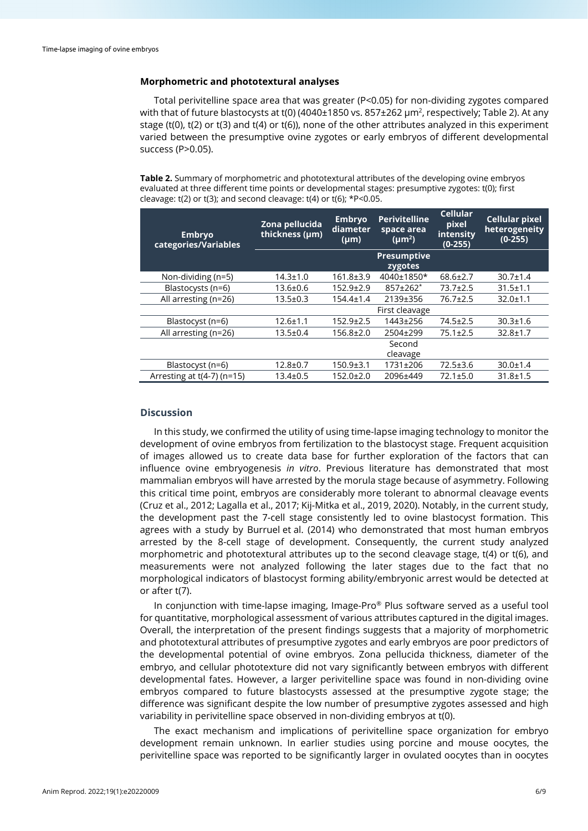# **Morphometric and phototextural analyses**

Total perivitelline space area that was greater (P<0.05) for non-dividing zygotes compared with that of future blastocysts at t(0) (4040±1850 vs. 857±262 µm<sup>2</sup>, respectively; Table 2). At any stage (t(0), t(2) or t(3) and t(4) or t(6)), none of the other attributes analyzed in this experiment varied between the presumptive ovine zygotes or early embryos of different developmental success (P>0.05).

**Table 2.** Summary of morphometric and phototextural attributes of the developing ovine embryos evaluated at three different time points or developmental stages: presumptive zygotes: t(0); first cleavage:  $t(2)$  or  $t(3)$ ; and second cleavage:  $t(4)$  or  $t(6)$ ;  $*P<0.05$ .

| <b>Embryo</b><br>categories/Variables | Zona pellucida<br>thickness (µm) | <b>Embryo</b><br>diameter<br>$(\mu m)$ | <b>Perivitelline</b><br>space area<br>$(\mu m^2)$ | <b>Cellular</b><br>pixel<br>intensity<br>$(0-255)$ | <b>Cellular pixel</b><br>heterogeneity<br>$(0-255)$ |
|---------------------------------------|----------------------------------|----------------------------------------|---------------------------------------------------|----------------------------------------------------|-----------------------------------------------------|
|                                       |                                  |                                        | <b>Presumptive</b><br>zygotes                     |                                                    |                                                     |
| Non-dividing $(n=5)$                  | $14.3 \pm 1.0$                   | 161.8±3.9                              | 4040±1850*                                        | $68.6 \pm 2.7$                                     | $30.7 \pm 1.4$                                      |
| Blastocysts (n=6)                     | $13.6 \pm 0.6$                   | $152.9 \pm 2.9$                        | $857 \pm 262$ *                                   | $73.7 \pm 2.5$                                     | $31.5 \pm 1.1$                                      |
| All arresting (n=26)                  | $13.5 \pm 0.3$                   | $154.4 \pm 1.4$                        | 2139±356                                          | $76.7 \pm 2.5$                                     | $32.0 \pm 1.1$                                      |
|                                       |                                  |                                        | First cleavage                                    |                                                    |                                                     |
| Blastocyst (n=6)                      | $12.6 \pm 1.1$                   | $152.9 \pm 2.5$                        | 1443±256                                          | $74.5 \pm 2.5$                                     | $30.3 \pm 1.6$                                      |
| All arresting (n=26)                  | $13.5 \pm 0.4$                   | $156.8 \pm 2.0$                        | 2504±299                                          | $75.1 \pm 2.5$                                     | $32.8 \pm 1.7$                                      |
|                                       |                                  |                                        | Second                                            |                                                    |                                                     |
|                                       |                                  |                                        | cleavage                                          |                                                    |                                                     |
| Blastocyst (n=6)                      | $12.8 \pm 0.7$                   | $150.9 \pm 3.1$                        | 1731±206                                          | $72.5 \pm 3.6$                                     | $30.0 \pm 1.4$                                      |
| Arresting at $t(4-7)$ (n=15)          | $13.4 \pm 0.5$                   | 152.0±2.0                              | 2096±449                                          | $72.1 \pm 5.0$                                     | $31.8 + 1.5$                                        |

# **Discussion**

In this study, we confirmed the utility of using time-lapse imaging technology to monitor the development of ovine embryos from fertilization to the blastocyst stage. Frequent acquisition of images allowed us to create data base for further exploration of the factors that can influence ovine embryogenesis *in vitro*. Previous literature has demonstrated that most mammalian embryos will have arrested by the morula stage because of asymmetry. Following this critical time point, embryos are considerably more tolerant to abnormal cleavage events (Cruz et al., 2012; Lagalla et al., 2017; Kij-Mitka et al., 2019, 2020). Notably, in the current study, the development past the 7-cell stage consistently led to ovine blastocyst formation. This agrees with a study by Burruel et al. (2014) who demonstrated that most human embryos arrested by the 8-cell stage of development. Consequently, the current study analyzed morphometric and phototextural attributes up to the second cleavage stage, t(4) or t(6), and measurements were not analyzed following the later stages due to the fact that no morphological indicators of blastocyst forming ability/embryonic arrest would be detected at or after t(7).

In conjunction with time-lapse imaging, Image-Pro® Plus software served as a useful tool for quantitative, morphological assessment of various attributes captured in the digital images. Overall, the interpretation of the present findings suggests that a majority of morphometric and phototextural attributes of presumptive zygotes and early embryos are poor predictors of the developmental potential of ovine embryos. Zona pellucida thickness, diameter of the embryo, and cellular phototexture did not vary significantly between embryos with different developmental fates. However, a larger perivitelline space was found in non-dividing ovine embryos compared to future blastocysts assessed at the presumptive zygote stage; the difference was significant despite the low number of presumptive zygotes assessed and high variability in perivitelline space observed in non-dividing embryos at t(0).

The exact mechanism and implications of perivitelline space organization for embryo development remain unknown. In earlier studies using porcine and mouse oocytes, the perivitelline space was reported to be significantly larger in ovulated oocytes than in oocytes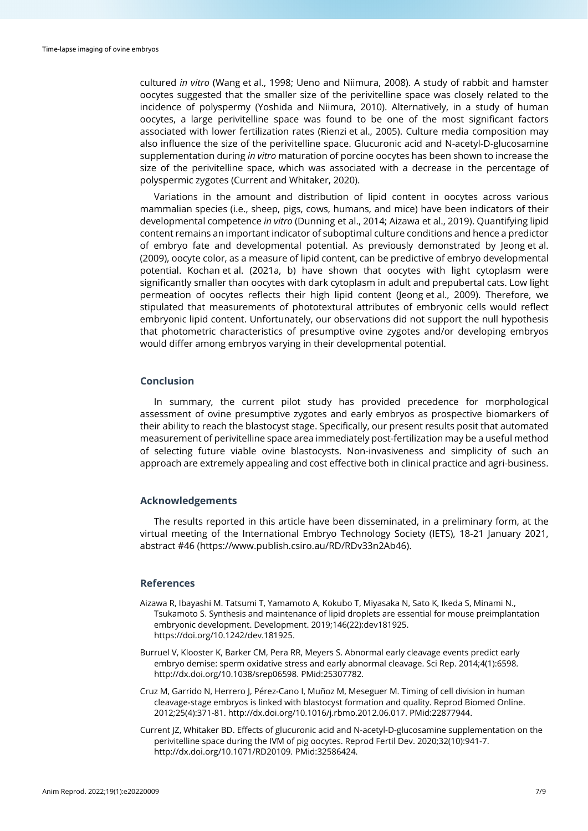cultured *in vitro* (Wang et al., 1998; Ueno and Niimura, 2008). A study of rabbit and hamster oocytes suggested that the smaller size of the perivitelline space was closely related to the incidence of polyspermy (Yoshida and Niimura, 2010). Alternatively, in a study of human oocytes, a large perivitelline space was found to be one of the most significant factors associated with lower fertilization rates (Rienzi et al., 2005). Culture media composition may also influence the size of the perivitelline space. Glucuronic acid and N-acetyl-D-glucosamine supplementation during *in vitro* maturation of porcine oocytes has been shown to increase the size of the perivitelline space, which was associated with a decrease in the percentage of polyspermic zygotes (Current and Whitaker, 2020).

Variations in the amount and distribution of lipid content in oocytes across various mammalian species (i.e., sheep, pigs, cows, humans, and mice) have been indicators of their developmental competence *in vitro* (Dunning et al., 2014; Aizawa et al., 2019). Quantifying lipid content remains an important indicator of suboptimal culture conditions and hence a predictor of embryo fate and developmental potential. As previously demonstrated by Jeong et al. (2009), oocyte color, as a measure of lipid content, can be predictive of embryo developmental potential. Kochan et al. (2021a, b) have shown that oocytes with light cytoplasm were significantly smaller than oocytes with dark cytoplasm in adult and prepubertal cats. Low light permeation of oocytes reflects their high lipid content (Jeong et al., 2009). Therefore, we stipulated that measurements of phototextural attributes of embryonic cells would reflect embryonic lipid content. Unfortunately, our observations did not support the null hypothesis that photometric characteristics of presumptive ovine zygotes and/or developing embryos would differ among embryos varying in their developmental potential.

## **Conclusion**

In summary, the current pilot study has provided precedence for morphological assessment of ovine presumptive zygotes and early embryos as prospective biomarkers of their ability to reach the blastocyst stage. Specifically, our present results posit that automated measurement of perivitelline space area immediately post-fertilization may be a useful method of selecting future viable ovine blastocysts. Non-invasiveness and simplicity of such an approach are extremely appealing and cost effective both in clinical practice and agri-business.

# **Acknowledgements**

The results reported in this article have been disseminated, in a preliminary form, at the virtual meeting of the International Embryo Technology Society (IETS), 18-21 January 2021, abstract #46 (https://www.publish.csiro.au/RD/RDv33n2Ab46).

#### **References**

- Aizawa R, Ibayashi M. Tatsumi T, Yamamoto A, Kokubo T, Miyasaka N, Sato K, Ikeda S, Minami N., Tsukamoto S. Synthesis and maintenance of lipid droplets are essential for mouse preimplantation embryonic development. Development. 2019;146(22):dev181925. [https://doi.org/10.1242/dev.181925.](https://doi.org/10.1242/dev.181925)
- Burruel V, Klooster K, Barker CM, Pera RR, Meyers S. Abnormal early cleavage events predict early embryo demise: sperm oxidative stress and early abnormal cleavage. Sci Rep. 2014;4(1):6598. [http://dx.doi.org/10.1038/srep06598.](https://doi.org/10.1038/srep06598) [PMid:25307782.](https://www.ncbi.nlm.nih.gov/entrez/query.fcgi?cmd=Retrieve&db=PubMed&list_uids=25307782&dopt=Abstract)
- Cruz M, Garrido N, Herrero J, Pérez-Cano I, Muñoz M, Meseguer M. Timing of cell division in human cleavage-stage embryos is linked with blastocyst formation and quality. Reprod Biomed Online. 2012;25(4):371-81. [http://dx.doi.org/10.1016/j.rbmo.2012.06.017.](https://doi.org/10.1016/j.rbmo.2012.06.017) [PMid:22877944.](https://www.ncbi.nlm.nih.gov/entrez/query.fcgi?cmd=Retrieve&db=PubMed&list_uids=22877944&dopt=Abstract)
- Current JZ, Whitaker BD. Effects of glucuronic acid and N-acetyl-D-glucosamine supplementation on the perivitelline space during the IVM of pig oocytes. Reprod Fertil Dev. 2020;32(10):941-7. [http://dx.doi.org/10.1071/RD20109.](https://doi.org/10.1071/RD20109) [PMid:32586424.](https://www.ncbi.nlm.nih.gov/entrez/query.fcgi?cmd=Retrieve&db=PubMed&list_uids=32586424&dopt=Abstract)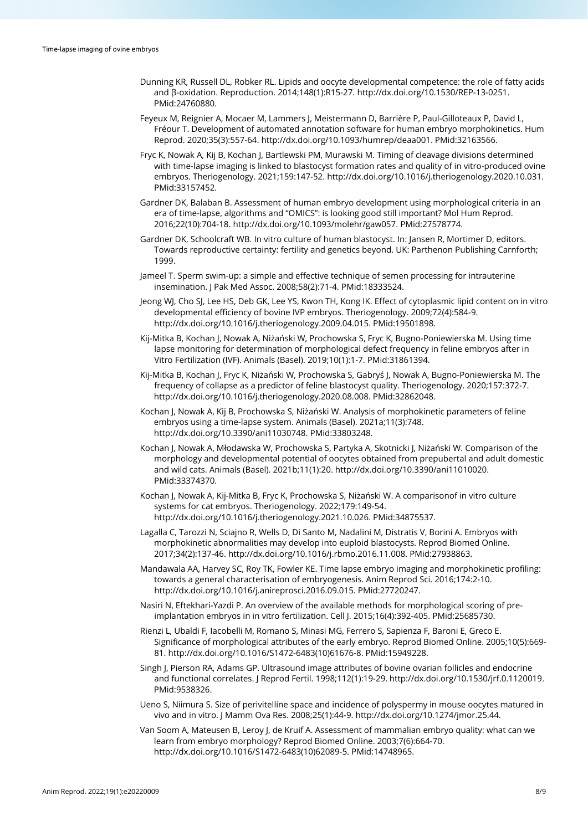- Dunning KR, Russell DL, Robker RL. Lipids and oocyte developmental competence: the role of fatty acids and β-oxidation. Reproduction. 2014;148(1):R15-27[. http://dx.doi.org/10.1530/REP-13-0251](https://doi.org/10.1530/REP-13-0251)[.](https://www.ncbi.nlm.nih.gov/entrez/query.fcgi?cmd=Retrieve&db=PubMed&list_uids=24760880&dopt=Abstract) [PMid:24760880.](https://www.ncbi.nlm.nih.gov/entrez/query.fcgi?cmd=Retrieve&db=PubMed&list_uids=24760880&dopt=Abstract)
- Feyeux M, Reignier A, Mocaer M, Lammers J, Meistermann D, Barrière P, Paul-Gilloteaux P, David L, Fréour T. Development of automated annotation software for human embryo morphokinetics. Hum Reprod. 2020;35(3):557-64[. http://dx.doi.org/10.1093/humrep/deaa001.](https://doi.org/10.1093/humrep/deaa001) [PMid:32163566.](https://www.ncbi.nlm.nih.gov/entrez/query.fcgi?cmd=Retrieve&db=PubMed&list_uids=32163566&dopt=Abstract)
- Fryc K, Nowak A, Kij B, Kochan J, Bartlewski PM, Murawski M. Timing of cleavage divisions determined with time-lapse imaging is linked to blastocyst formation rates and quality of in vitro-produced ovine embryos. Theriogenology. 2021;159:147-52[. http://dx.doi.org/10.1016/j.theriogenology.2020.10.031.](https://doi.org/10.1016/j.theriogenology.2020.10.031) [PMid:33157452.](https://www.ncbi.nlm.nih.gov/entrez/query.fcgi?cmd=Retrieve&db=PubMed&list_uids=33157452&dopt=Abstract)
- Gardner DK, Balaban B. Assessment of human embryo development using morphological criteria in an era of time-lapse, algorithms and "OMICS": is looking good still important? Mol Hum Reprod. 2016;22(10):704-18. [http://dx.doi.org/10.1093/molehr/gaw057.](https://doi.org/10.1093/molehr/gaw057) [PMid:27578774.](https://www.ncbi.nlm.nih.gov/entrez/query.fcgi?cmd=Retrieve&db=PubMed&list_uids=27578774&dopt=Abstract)
- Gardner DK, Schoolcraft WB. In vitro culture of human blastocyst. In: Jansen R, Mortimer D, editors. Towards reproductive certainty: fertility and genetics beyond. UK: Parthenon Publishing Carnforth; 1999.
- Jameel T. Sperm swim-up: a simple and effective technique of semen processing for intrauterine insemination. J Pak Med Assoc. 2008;58(2):71-4. [PMid:18333524.](https://www.ncbi.nlm.nih.gov/entrez/query.fcgi?cmd=Retrieve&db=PubMed&list_uids=18333524&dopt=Abstract)
- Jeong WJ, Cho SJ, Lee HS, Deb GK, Lee YS, Kwon TH, Kong IK. Effect of cytoplasmic lipid content on in vitro developmental efficiency of bovine IVP embryos. Theriogenology. 2009;72(4):584-9. [http://dx.doi.org/10.1016/j.theriogenology.2009.04.015.](https://doi.org/10.1016/j.theriogenology.2009.04.015) [PMid:19501898.](https://www.ncbi.nlm.nih.gov/entrez/query.fcgi?cmd=Retrieve&db=PubMed&list_uids=19501898&dopt=Abstract)
- Kij-Mitka B, Kochan J, Nowak A, Niżański W, Prochowska S, Fryc K, Bugno-Poniewierska M. Using time lapse monitoring for determination of morphological defect frequency in feline embryos after in Vitro Fertilization (IVF). Animals (Basel). 2019;10(1):1-7. [PMid:31861394.](https://www.ncbi.nlm.nih.gov/entrez/query.fcgi?cmd=Retrieve&db=PubMed&list_uids=31861394&dopt=Abstract)
- Kij-Mitka B, Kochan J, Fryc K, Niżański W, Prochowska S, Gabryś J, Nowak A, Bugno-Poniewierska M. The frequency of collapse as a predictor of feline blastocyst quality. Theriogenology. 2020;157:372-7. [http://dx.doi.org/10.1016/j.theriogenology.2020.08.008.](https://doi.org/10.1016/j.theriogenology.2020.08.008) [PMid:32862048.](https://www.ncbi.nlm.nih.gov/entrez/query.fcgi?cmd=Retrieve&db=PubMed&list_uids=32862048&dopt=Abstract)
- Kochan J, Nowak A, Kij B, Prochowska S, Niżański W. Analysis of morphokinetic parameters of feline embryos using a time-lapse system. Animals (Basel). 2021a;11(3):748. [http://dx.doi.org/10.3390/ani11030748.](https://doi.org/10.3390/ani11030748) [PMid:33803248.](https://www.ncbi.nlm.nih.gov/entrez/query.fcgi?cmd=Retrieve&db=PubMed&list_uids=33803248&dopt=Abstract)
- Kochan J, Nowak A, Młodawska W, Prochowska S, Partyka A, Skotnicki J, Niżański W. Comparison of the morphology and developmental potential of oocytes obtained from prepubertal and adult domestic and wild cats. Animals (Basel). 2021b;11(1):20[. http://dx.doi.org/10.3390/ani11010020](https://doi.org/10.3390/ani11010020)[.](https://www.ncbi.nlm.nih.gov/entrez/query.fcgi?cmd=Retrieve&db=PubMed&list_uids=33374370&dopt=Abstract) [PMid:33374370.](https://www.ncbi.nlm.nih.gov/entrez/query.fcgi?cmd=Retrieve&db=PubMed&list_uids=33374370&dopt=Abstract)
- Kochan J, Nowak A, Kij-Mitka B, Fryc K, Prochowska S, Niżański W. A comparisonof in vitro culture systems for cat embryos. Theriogenology. 2022;179:149-54. [http://dx.doi.org/10.1016/j.theriogenology.2021.10.026.](https://doi.org/10.1016/j.theriogenology.2021.10.026) [PMid:34875537.](https://www.ncbi.nlm.nih.gov/entrez/query.fcgi?cmd=Retrieve&db=PubMed&list_uids=34875537&dopt=Abstract)
- Lagalla C, Tarozzi N, Sciajno R, Wells D, Di Santo M, Nadalini M, Distratis V, Borini A. Embryos with morphokinetic abnormalities may develop into euploid blastocysts. Reprod Biomed Online. 2017;34(2):137-46[. http://dx.doi.org/10.1016/j.rbmo.2016.11.008.](https://doi.org/10.1016/j.rbmo.2016.11.008) [PMid:27938863.](https://www.ncbi.nlm.nih.gov/entrez/query.fcgi?cmd=Retrieve&db=PubMed&list_uids=27938863&dopt=Abstract)
- Mandawala AA, Harvey SC, Roy TK, Fowler KE. Time lapse embryo imaging and morphokinetic profiling: towards a general characterisation of embryogenesis. Anim Reprod Sci. 2016;174:2-10. [http://dx.doi.org/10.1016/j.anireprosci.2016.09.015.](https://doi.org/10.1016/j.anireprosci.2016.09.015) [PMid:27720247.](https://www.ncbi.nlm.nih.gov/entrez/query.fcgi?cmd=Retrieve&db=PubMed&list_uids=27720247&dopt=Abstract)
- Nasiri N, Eftekhari-Yazdi P. An overview of the available methods for morphological scoring of preimplantation embryos in in vitro fertilization. Cell J. 2015;16(4):392-405. [PMid:25685730.](https://www.ncbi.nlm.nih.gov/entrez/query.fcgi?cmd=Retrieve&db=PubMed&list_uids=25685730&dopt=Abstract)
- Rienzi L, Ubaldi F, Iacobelli M, Romano S, Minasi MG, Ferrero S, Sapienza F, Baroni E, Greco E. Significance of morphological attributes of the early embryo. Reprod Biomed Online. 2005;10(5):669- 81[. http://dx.doi.org/10.1016/S1472-6483\(10\)61676-8.](https://doi.org/10.1016/S1472-6483(10)61676-8) [PMid:15949228.](https://www.ncbi.nlm.nih.gov/entrez/query.fcgi?cmd=Retrieve&db=PubMed&list_uids=15949228&dopt=Abstract)
- Singh J, Pierson RA, Adams GP. Ultrasound image attributes of bovine ovarian follicles and endocrine and functional correlates. J Reprod Fertil. 1998;112(1):19-29[. http://dx.doi.org/10.1530/jrf.0.1120019](https://doi.org/10.1530/jrf.0.1120019)[.](https://www.ncbi.nlm.nih.gov/entrez/query.fcgi?cmd=Retrieve&db=PubMed&list_uids=9538326&dopt=Abstract) [PMid:9538326.](https://www.ncbi.nlm.nih.gov/entrez/query.fcgi?cmd=Retrieve&db=PubMed&list_uids=9538326&dopt=Abstract)
- Ueno S, Niimura S. Size of perivitelline space and incidence of polyspermy in mouse oocytes matured in vivo and in vitro. J Mamm Ova Res. 2008;25(1):44-9. [http://dx.doi.org/10.1274/jmor.25.44.](https://doi.org/10.1274/jmor.25.44)
- Van Soom A, Mateusen B, Leroy J, de Kruif A. Assessment of mammalian embryo quality: what can we learn from embryo morphology? Reprod Biomed Online. 2003;7(6):664-70. [http://dx.doi.org/10.1016/S1472-6483\(10\)62089-5.](https://doi.org/10.1016/S1472-6483(10)62089-5) [PMid:14748965.](https://www.ncbi.nlm.nih.gov/entrez/query.fcgi?cmd=Retrieve&db=PubMed&list_uids=14748965&dopt=Abstract)